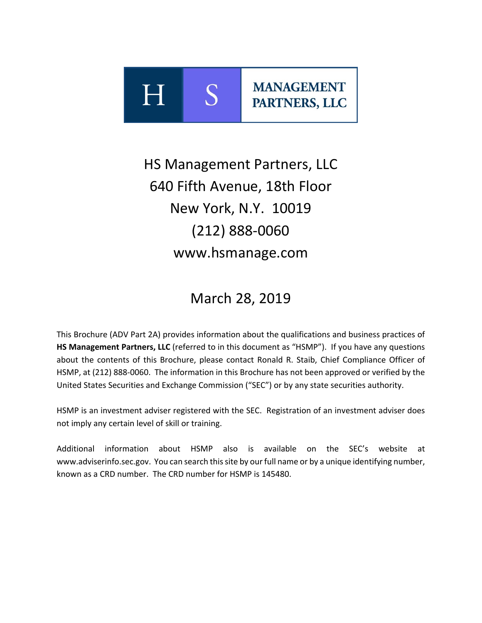

# HS Management Partners, LLC 640 Fifth Avenue, 18th Floor New York, N.Y. 10019 (212) 888‐0060 www.hsmanage.com

# March 28, 2019

This Brochure (ADV Part 2A) provides information about the qualifications and business practices of **HS Management Partners, LLC** (referred to in this document as "HSMP"). If you have any questions about the contents of this Brochure, please contact Ronald R. Staib, Chief Compliance Officer of HSMP, at (212) 888‐0060. The information in this Brochure has not been approved or verified by the United States Securities and Exchange Commission ("SEC") or by any state securities authority.

HSMP is an investment adviser registered with the SEC. Registration of an investment adviser does not imply any certain level of skill or training.

Additional information about HSMP also is available on the SEC's website at www.adviserinfo.sec.gov. You can search this site by our full name or by a unique identifying number, known as a CRD number. The CRD number for HSMP is 145480.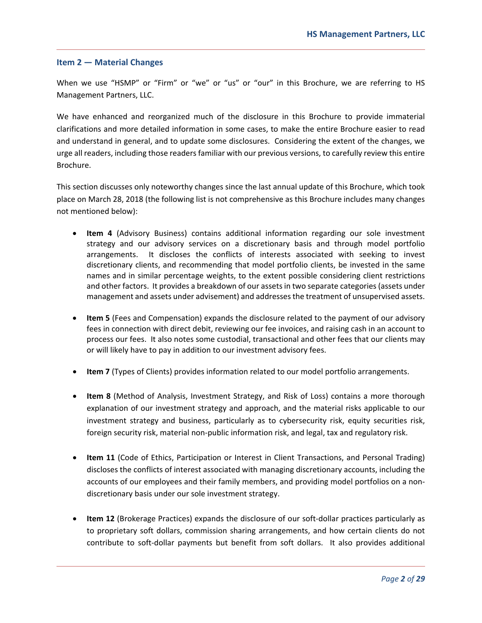#### **Item 2 — Material Changes**

When we use "HSMP" or "Firm" or "we" or "us" or "our" in this Brochure, we are referring to HS Management Partners, LLC.

We have enhanced and reorganized much of the disclosure in this Brochure to provide immaterial clarifications and more detailed information in some cases, to make the entire Brochure easier to read and understand in general, and to update some disclosures. Considering the extent of the changes, we urge all readers, including those readers familiar with our previous versions, to carefully review this entire Brochure.

This section discusses only noteworthy changes since the last annual update of this Brochure, which took place on March 28, 2018 (the following list is not comprehensive as this Brochure includes many changes not mentioned below):

- Item 4 (Advisory Business) contains additional information regarding our sole investment strategy and our advisory services on a discretionary basis and through model portfolio arrangements. It discloses the conflicts of interests associated with seeking to invest discretionary clients, and recommending that model portfolio clients, be invested in the same names and in similar percentage weights, to the extent possible considering client restrictions and other factors. It provides a breakdown of our assets in two separate categories (assets under management and assets under advisement) and addresses the treatment of unsupervised assets.
- **Item 5** (Fees and Compensation) expands the disclosure related to the payment of our advisory fees in connection with direct debit, reviewing our fee invoices, and raising cash in an account to process our fees. It also notes some custodial, transactional and other fees that our clients may or will likely have to pay in addition to our investment advisory fees.
- **Item 7** (Types of Clients) provides information related to our model portfolio arrangements.
- **Item 8** (Method of Analysis, Investment Strategy, and Risk of Loss) contains a more thorough explanation of our investment strategy and approach, and the material risks applicable to our investment strategy and business, particularly as to cybersecurity risk, equity securities risk, foreign security risk, material non‐public information risk, and legal, tax and regulatory risk.
- **Item 11** (Code of Ethics, Participation or Interest in Client Transactions, and Personal Trading) discloses the conflicts of interest associated with managing discretionary accounts, including the accounts of our employees and their family members, and providing model portfolios on a non‐ discretionary basis under our sole investment strategy.
- **Item 12** (Brokerage Practices) expands the disclosure of our soft-dollar practices particularly as to proprietary soft dollars, commission sharing arrangements, and how certain clients do not contribute to soft-dollar payments but benefit from soft dollars. It also provides additional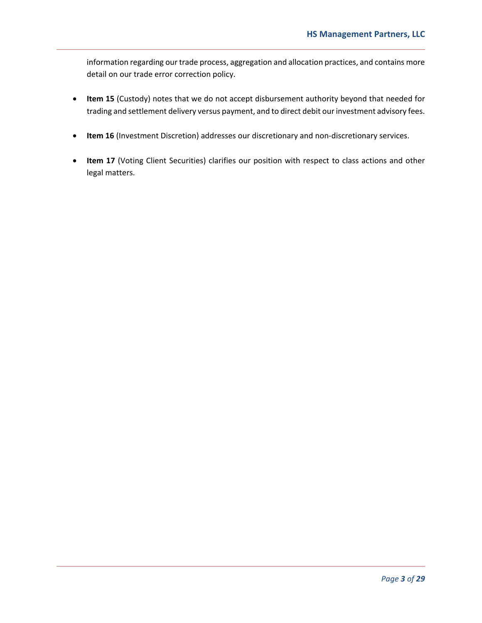information regarding our trade process, aggregation and allocation practices, and contains more detail on our trade error correction policy.

- **Item 15** (Custody) notes that we do not accept disbursement authority beyond that needed for trading and settlement delivery versus payment, and to direct debit our investment advisory fees.
- **Item 16** (Investment Discretion) addresses our discretionary and non-discretionary services.
- Item 17 (Voting Client Securities) clarifies our position with respect to class actions and other legal matters.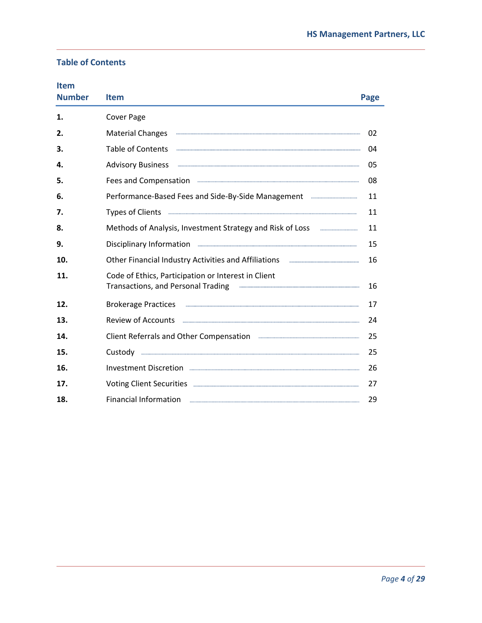# **Table of Contents**

| <b>Item</b><br><b>Number</b> | <b>Item</b>                                                                                                                                                                                                                                                                                                                                                                                                                                                                                                                              | Page |
|------------------------------|------------------------------------------------------------------------------------------------------------------------------------------------------------------------------------------------------------------------------------------------------------------------------------------------------------------------------------------------------------------------------------------------------------------------------------------------------------------------------------------------------------------------------------------|------|
| 1.                           | <b>Cover Page</b>                                                                                                                                                                                                                                                                                                                                                                                                                                                                                                                        |      |
| 2.                           | <b>Material Changes</b>                                                                                                                                                                                                                                                                                                                                                                                                                                                                                                                  | 02   |
| 3.                           | <b>Table of Contents</b>                                                                                                                                                                                                                                                                                                                                                                                                                                                                                                                 | 04   |
| 4.                           | <b>Advisory Business</b>                                                                                                                                                                                                                                                                                                                                                                                                                                                                                                                 | 05   |
| 5.                           | Fees and Compensation <b>Example 2018</b> 2019 2019 2019 2021 21:00:00 21:00:00 21:00:00 21:00:00 21:00:00 21:00:00 21:00:00 21:00:00 21:00:00 21:00:00 21:00:00 21:00:00 21:00:00 21:00:00 21:00:00 21:00:00 21:00:00 21:00:00 21:                                                                                                                                                                                                                                                                                                      | 08   |
| 6.                           | Performance-Based Fees and Side-By-Side Management <b>Entire Act 2018</b>                                                                                                                                                                                                                                                                                                                                                                                                                                                                | 11   |
| 7.                           | Types of Clients <b>Commission Commission Commission</b>                                                                                                                                                                                                                                                                                                                                                                                                                                                                                 | 11   |
| 8.                           | Methods of Analysis, Investment Strategy and Risk of Loss <b>Election</b> 2016                                                                                                                                                                                                                                                                                                                                                                                                                                                           | 11   |
| 9.                           | Disciplinary Information <b>Election</b> 2014 12:00 12:00 12:00 12:00 12:00 12:00 12:00 12:00 12:00 12:00 12:00 12:00 12:00 12:00 12:00 12:00 12:00 12:00 12:00 12:00 12:00 12:00 12:00 12:00 12:00 12:00 12:00 12:00 12:00 12:00 1                                                                                                                                                                                                                                                                                                      | 15   |
| 10.                          | Other Financial Industry Activities and Affiliations                                                                                                                                                                                                                                                                                                                                                                                                                                                                                     | 16   |
| 11.                          | Code of Ethics, Participation or Interest in Client<br>Transactions, and Personal Trading<br>$\begin{minipage}{0.5\textwidth} \begin{tabular}{ l l l } \hline \multicolumn{1}{ l l l } \hline \multicolumn{1}{ l l } \multicolumn{1}{ l } \multicolumn{1}{ l } \multicolumn{1}{ l } \multicolumn{1}{ l } \multicolumn{1}{ l } \multicolumn{1}{ l } \multicolumn{1}{ l } \multicolumn{1}{ l } \multicolumn{1}{ l } \multicolumn{1}{ l } \multicolumn{1}{ l } \multicolumn{1}{ l } \multicolumn{1}{ l } \multicolumn{1}{ l } \multicolumn$ | 16   |
| 12.                          | Brokerage Practices <b>with the contract of the contract of the contract of the contract of the contract of the contract of the contract of the contract of the contract of the contract of the contract of the contract of the </b>                                                                                                                                                                                                                                                                                                     | 17   |
| 13.                          | <b>Review of Accounts</b><br>$\begin{bmatrix} 1 & 0 & 0 & 0 \\ 0 & 0 & 0 & 0 \\ 0 & 0 & 0 & 0 \\ 0 & 0 & 0 & 0 \\ 0 & 0 & 0 & 0 & 0 \\ 0 & 0 & 0 & 0 & 0 \\ 0 & 0 & 0 & 0 & 0 \\ 0 & 0 & 0 & 0 & 0 \\ 0 & 0 & 0 & 0 & 0 & 0 \\ 0 & 0 & 0 & 0 & 0 & 0 \\ 0 & 0 & 0 & 0 & 0 & 0 & 0 \\ 0 & 0 & 0 & 0 & 0 & 0 & 0 \\ 0 & 0 & 0 & 0 & 0 & 0 & 0 \\ 0 & 0 & $                                                                                                                                                                                 | 24   |
| 14.                          | Client Referrals and Other Compensation <b>Engineering and Structure Compensation</b>                                                                                                                                                                                                                                                                                                                                                                                                                                                    | 25   |
| 15.                          |                                                                                                                                                                                                                                                                                                                                                                                                                                                                                                                                          | 25   |
| 16.                          |                                                                                                                                                                                                                                                                                                                                                                                                                                                                                                                                          | 26   |
| 17.                          |                                                                                                                                                                                                                                                                                                                                                                                                                                                                                                                                          | 27   |
| 18.                          | <b>Financial Information</b>                                                                                                                                                                                                                                                                                                                                                                                                                                                                                                             | 29   |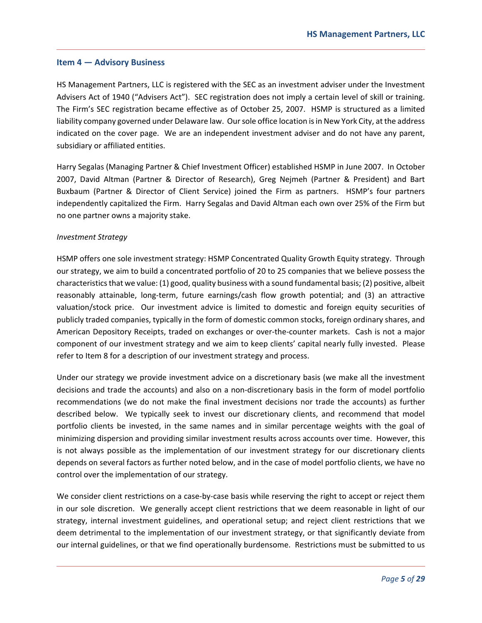#### **Item 4 — Advisory Business**

HS Management Partners, LLC is registered with the SEC as an investment adviser under the Investment Advisers Act of 1940 ("Advisers Act"). SEC registration does not imply a certain level of skill or training. The Firm's SEC registration became effective as of October 25, 2007. HSMP is structured as a limited liability company governed under Delaware law. Our sole office location is in New York City, at the address indicated on the cover page. We are an independent investment adviser and do not have any parent, subsidiary or affiliated entities.

Harry Segalas (Managing Partner & Chief Investment Officer) established HSMP in June 2007. In October 2007, David Altman (Partner & Director of Research), Greg Nejmeh (Partner & President) and Bart Buxbaum (Partner & Director of Client Service) joined the Firm as partners. HSMP's four partners independently capitalized the Firm. Harry Segalas and David Altman each own over 25% of the Firm but no one partner owns a majority stake.

#### *Investment Strategy*

HSMP offers one sole investment strategy: HSMP Concentrated Quality Growth Equity strategy. Through our strategy, we aim to build a concentrated portfolio of 20 to 25 companies that we believe possess the characteristics that we value: (1) good, quality business with a sound fundamental basis; (2) positive, albeit reasonably attainable, long-term, future earnings/cash flow growth potential; and (3) an attractive valuation/stock price. Our investment advice is limited to domestic and foreign equity securities of publicly traded companies, typically in the form of domestic common stocks, foreign ordinary shares, and American Depository Receipts, traded on exchanges or over-the-counter markets. Cash is not a major component of our investment strategy and we aim to keep clients' capital nearly fully invested. Please refer to Item 8 for a description of our investment strategy and process.

Under our strategy we provide investment advice on a discretionary basis (we make all the investment decisions and trade the accounts) and also on a non-discretionary basis in the form of model portfolio recommendations (we do not make the final investment decisions nor trade the accounts) as further described below. We typically seek to invest our discretionary clients, and recommend that model portfolio clients be invested, in the same names and in similar percentage weights with the goal of minimizing dispersion and providing similar investment results across accounts over time. However, this is not always possible as the implementation of our investment strategy for our discretionary clients depends on several factors as further noted below, and in the case of model portfolio clients, we have no control over the implementation of our strategy.

We consider client restrictions on a case-by-case basis while reserving the right to accept or reject them in our sole discretion. We generally accept client restrictions that we deem reasonable in light of our strategy, internal investment guidelines, and operational setup; and reject client restrictions that we deem detrimental to the implementation of our investment strategy, or that significantly deviate from our internal guidelines, or that we find operationally burdensome. Restrictions must be submitted to us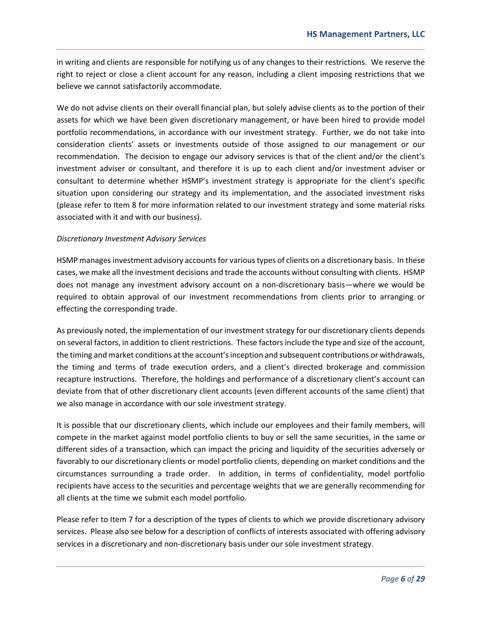in writing and clients are responsible for notifying us of any changes to their restrictions. We reserve the right to reject or close a client account for any reason, including a client imposing restrictions that we believe we cannot satisfactorily accommodate.

We do not advise clients on their overall financial plan, but solely advise clients as to the portion of their assets for which we have been given discretionary management, or have been hired to provide model portfolio recommendations, in accordance with our investment strategy. Further, we do not take into consideration clients' assets or investments outside of those assigned to our management or our recommendation. The decision to engage our advisory services is that of the client and/or the client's investment adviser or consultant, and therefore it is up to each client and/or investment adviser or consultant to determine whether HSMP's investment strategy is appropriate for the client's specific situation upon considering our strategy and its implementation, and the associated investment risks (please refer to Item 8 for more information related to our investment strategy and some material risks associated with it and with our business).

#### *Discretionary Investment Advisory Services*

HSMP manages investment advisory accounts for various types of clients on a discretionary basis. In these cases, we make all the investment decisions and trade the accounts without consulting with clients. HSMP does not manage any investment advisory account on a non-discretionary basis—where we would be required to obtain approval of our investment recommendations from clients prior to arranging or effecting the corresponding trade.

As previously noted, the implementation of our investment strategy for our discretionary clients depends on several factors, in addition to client restrictions. These factors include the type and size of the account, the timing and market conditions at the account's inception and subsequent contributions or withdrawals, the timing and terms of trade execution orders, and a client's directed brokerage and commission recapture instructions. Therefore, the holdings and performance of a discretionary client's account can deviate from that of other discretionary client accounts (even different accounts of the same client) that we also manage in accordance with our sole investment strategy.

It is possible that our discretionary clients, which include our employees and their family members, will compete in the market against model portfolio clients to buy or sell the same securities, in the same or different sides of a transaction, which can impact the pricing and liquidity of the securities adversely or favorably to our discretionary clients or model portfolio clients, depending on market conditions and the circumstances surrounding a trade order. In addition, in terms of confidentiality, model portfolio recipients have access to the securities and percentage weights that we are generally recommending for all clients at the time we submit each model portfolio.

Please refer to Item 7 for a description of the types of clients to which we provide discretionary advisory services. Please also see below for a description of conflicts of interests associated with offering advisory services in a discretionary and non-discretionary basis under our sole investment strategy.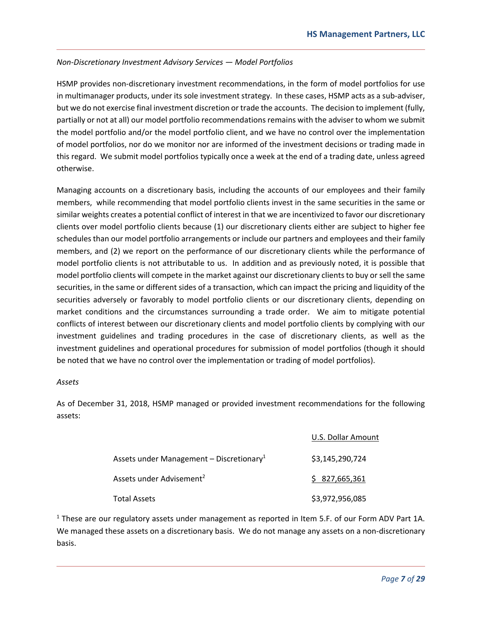#### *Non‐Discretionary Investment Advisory Services — Model Portfolios*

HSMP provides non‐discretionary investment recommendations, in the form of model portfolios for use in multimanager products, under its sole investment strategy. In these cases, HSMP acts as a sub-adviser, but we do not exercise final investment discretion or trade the accounts. The decision to implement (fully, partially or not at all) our model portfolio recommendations remains with the adviser to whom we submit the model portfolio and/or the model portfolio client, and we have no control over the implementation of model portfolios, nor do we monitor nor are informed of the investment decisions or trading made in this regard. We submit model portfolios typically once a week at the end of a trading date, unless agreed otherwise.

Managing accounts on a discretionary basis, including the accounts of our employees and their family members, while recommending that model portfolio clients invest in the same securities in the same or similar weights creates a potential conflict of interest in that we are incentivized to favor our discretionary clients over model portfolio clients because (1) our discretionary clients either are subject to higher fee schedules than our model portfolio arrangements or include our partners and employees and their family members, and (2) we report on the performance of our discretionary clients while the performance of model portfolio clients is not attributable to us. In addition and as previously noted, it is possible that model portfolio clients will compete in the market against our discretionary clients to buy or sell the same securities, in the same or different sides of a transaction, which can impact the pricing and liquidity of the securities adversely or favorably to model portfolio clients or our discretionary clients, depending on market conditions and the circumstances surrounding a trade order. We aim to mitigate potential conflicts of interest between our discretionary clients and model portfolio clients by complying with our investment guidelines and trading procedures in the case of discretionary clients, as well as the investment guidelines and operational procedures for submission of model portfolios (though it should be noted that we have no control over the implementation or trading of model portfolios).

#### *Assets*

As of December 31, 2018, HSMP managed or provided investment recommendations for the following assets:

|                                                      | U.S. Dollar Amount |
|------------------------------------------------------|--------------------|
| Assets under Management - Discretionary <sup>1</sup> | \$3,145,290,724    |
| Assets under Advisement <sup>2</sup>                 | \$27,665,361       |
| <b>Total Assets</b>                                  | \$3,972,956,085    |

<sup>1</sup> These are our regulatory assets under management as reported in Item 5.F. of our Form ADV Part 1A. We managed these assets on a discretionary basis. We do not manage any assets on a non-discretionary basis.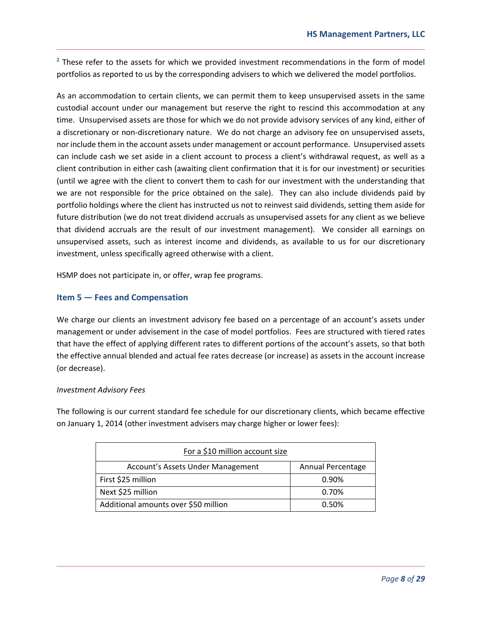$2$  These refer to the assets for which we provided investment recommendations in the form of model portfolios as reported to us by the corresponding advisers to which we delivered the model portfolios.

As an accommodation to certain clients, we can permit them to keep unsupervised assets in the same custodial account under our management but reserve the right to rescind this accommodation at any time. Unsupervised assets are those for which we do not provide advisory services of any kind, either of a discretionary or non‐discretionary nature. We do not charge an advisory fee on unsupervised assets, nor include them in the account assets under management or account performance. Unsupervised assets can include cash we set aside in a client account to process a client's withdrawal request, as well as a client contribution in either cash (awaiting client confirmation that it is for our investment) or securities (until we agree with the client to convert them to cash for our investment with the understanding that we are not responsible for the price obtained on the sale). They can also include dividends paid by portfolio holdings where the client has instructed us not to reinvest said dividends, setting them aside for future distribution (we do not treat dividend accruals as unsupervised assets for any client as we believe that dividend accruals are the result of our investment management). We consider all earnings on unsupervised assets, such as interest income and dividends, as available to us for our discretionary investment, unless specifically agreed otherwise with a client.

HSMP does not participate in, or offer, wrap fee programs.

## **Item 5 — Fees and Compensation**

We charge our clients an investment advisory fee based on a percentage of an account's assets under management or under advisement in the case of model portfolios. Fees are structured with tiered rates that have the effect of applying different rates to different portions of the account's assets, so that both the effective annual blended and actual fee rates decrease (or increase) as assets in the account increase (or decrease).

#### *Investment Advisory Fees*

The following is our current standard fee schedule for our discretionary clients, which became effective on January 1, 2014 (other investment advisers may charge higher or lower fees):

| For a \$10 million account size      |                   |  |  |
|--------------------------------------|-------------------|--|--|
| Account's Assets Under Management    | Annual Percentage |  |  |
| First \$25 million                   | 0.90%             |  |  |
| Next \$25 million                    | 0.70%             |  |  |
| Additional amounts over \$50 million | 0.50%             |  |  |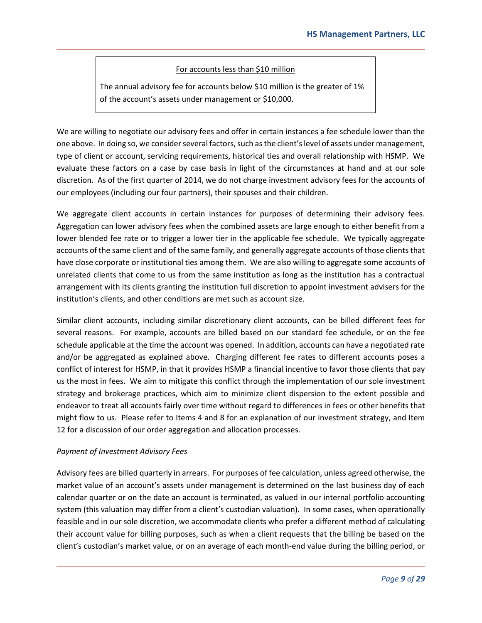## For accounts less than \$10 million

The annual advisory fee for accounts below \$10 million is the greater of 1% of the account's assets under management or \$10,000.

We are willing to negotiate our advisory fees and offer in certain instances a fee schedule lower than the one above. In doing so, we consider several factors, such as the client's level of assets under management, type of client or account, servicing requirements, historical ties and overall relationship with HSMP. We evaluate these factors on a case by case basis in light of the circumstances at hand and at our sole discretion. As of the first quarter of 2014, we do not charge investment advisory fees for the accounts of our employees (including our four partners), their spouses and their children.

We aggregate client accounts in certain instances for purposes of determining their advisory fees. Aggregation can lower advisory fees when the combined assets are large enough to either benefit from a lower blended fee rate or to trigger a lower tier in the applicable fee schedule. We typically aggregate accounts of the same client and of the same family, and generally aggregate accounts of those clients that have close corporate or institutional ties among them. We are also willing to aggregate some accounts of unrelated clients that come to us from the same institution as long as the institution has a contractual arrangement with its clients granting the institution full discretion to appoint investment advisers for the institution's clients, and other conditions are met such as account size.

Similar client accounts, including similar discretionary client accounts, can be billed different fees for several reasons. For example, accounts are billed based on our standard fee schedule, or on the fee schedule applicable at the time the account was opened. In addition, accounts can have a negotiated rate and/or be aggregated as explained above. Charging different fee rates to different accounts poses a conflict of interest for HSMP, in that it provides HSMP a financial incentive to favor those clients that pay us the most in fees. We aim to mitigate this conflict through the implementation of our sole investment strategy and brokerage practices, which aim to minimize client dispersion to the extent possible and endeavor to treat all accounts fairly over time without regard to differences in fees or other benefits that might flow to us. Please refer to Items 4 and 8 for an explanation of our investment strategy, and Item 12 for a discussion of our order aggregation and allocation processes.

#### *Payment of Investment Advisory Fees*

Advisory fees are billed quarterly in arrears. For purposes of fee calculation, unless agreed otherwise, the market value of an account's assets under management is determined on the last business day of each calendar quarter or on the date an account is terminated, as valued in our internal portfolio accounting system (this valuation may differ from a client's custodian valuation). In some cases, when operationally feasible and in our sole discretion, we accommodate clients who prefer a different method of calculating their account value for billing purposes, such as when a client requests that the billing be based on the client's custodian's market value, or on an average of each month‐end value during the billing period, or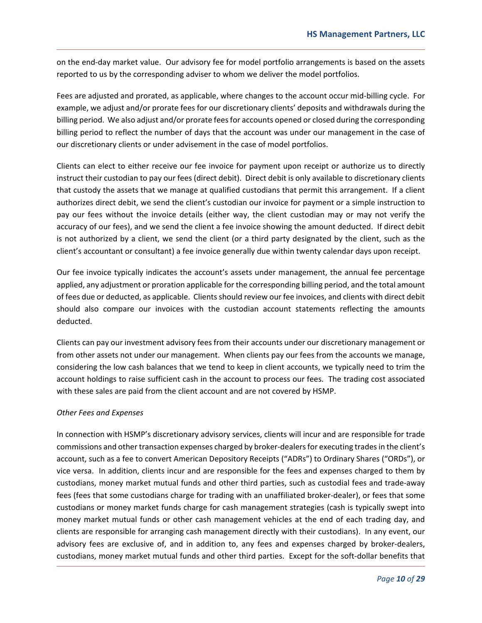on the end‐day market value. Our advisory fee for model portfolio arrangements is based on the assets reported to us by the corresponding adviser to whom we deliver the model portfolios.

Fees are adjusted and prorated, as applicable, where changes to the account occur mid‐billing cycle. For example, we adjust and/or prorate fees for our discretionary clients' deposits and withdrawals during the billing period. We also adjust and/or prorate fees for accounts opened or closed during the corresponding billing period to reflect the number of days that the account was under our management in the case of our discretionary clients or under advisement in the case of model portfolios.

Clients can elect to either receive our fee invoice for payment upon receipt or authorize us to directly instruct their custodian to pay our fees (direct debit). Direct debit is only available to discretionary clients that custody the assets that we manage at qualified custodians that permit this arrangement. If a client authorizes direct debit, we send the client's custodian our invoice for payment or a simple instruction to pay our fees without the invoice details (either way, the client custodian may or may not verify the accuracy of our fees), and we send the client a fee invoice showing the amount deducted. If direct debit is not authorized by a client, we send the client (or a third party designated by the client, such as the client's accountant or consultant) a fee invoice generally due within twenty calendar days upon receipt.

Our fee invoice typically indicates the account's assets under management, the annual fee percentage applied, any adjustment or proration applicable for the corresponding billing period, and the total amount of fees due or deducted, as applicable. Clients should review our fee invoices, and clients with direct debit should also compare our invoices with the custodian account statements reflecting the amounts deducted.

Clients can pay our investment advisory fees from their accounts under our discretionary management or from other assets not under our management. When clients pay our fees from the accounts we manage, considering the low cash balances that we tend to keep in client accounts, we typically need to trim the account holdings to raise sufficient cash in the account to process our fees. The trading cost associated with these sales are paid from the client account and are not covered by HSMP.

#### *Other Fees and Expenses*

In connection with HSMP's discretionary advisory services, clients will incur and are responsible for trade commissions and other transaction expenses charged by broker-dealers for executing trades in the client's account, such as a fee to convert American Depository Receipts ("ADRs") to Ordinary Shares ("ORDs"), or vice versa. In addition, clients incur and are responsible for the fees and expenses charged to them by custodians, money market mutual funds and other third parties, such as custodial fees and trade‐away fees (fees that some custodians charge for trading with an unaffiliated broker‐dealer), or fees that some custodians or money market funds charge for cash management strategies (cash is typically swept into money market mutual funds or other cash management vehicles at the end of each trading day, and clients are responsible for arranging cash management directly with their custodians). In any event, our advisory fees are exclusive of, and in addition to, any fees and expenses charged by broker-dealers, custodians, money market mutual funds and other third parties. Except for the soft‐dollar benefits that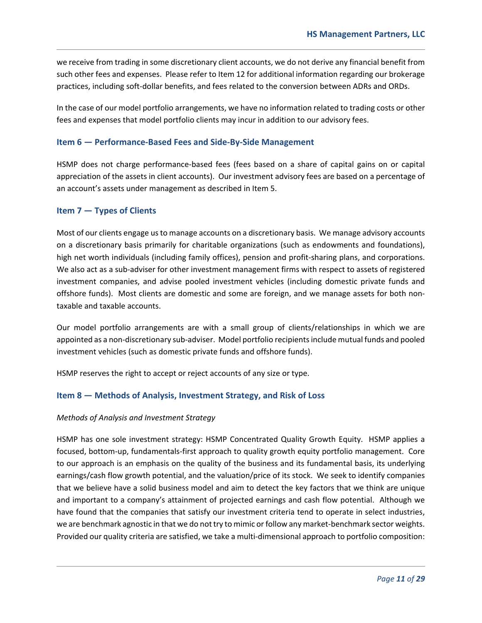we receive from trading in some discretionary client accounts, we do not derive any financial benefit from such other fees and expenses. Please refer to Item 12 for additional information regarding our brokerage practices, including soft‐dollar benefits, and fees related to the conversion between ADRs and ORDs.

In the case of our model portfolio arrangements, we have no information related to trading costs or other fees and expenses that model portfolio clients may incur in addition to our advisory fees.

#### **Item 6 — Performance‐Based Fees and Side‐By‐Side Management**

HSMP does not charge performance-based fees (fees based on a share of capital gains on or capital appreciation of the assets in client accounts). Our investment advisory fees are based on a percentage of an account's assets under management as described in Item 5.

#### **Item 7 — Types of Clients**

Most of our clients engage us to manage accounts on a discretionary basis. We manage advisory accounts on a discretionary basis primarily for charitable organizations (such as endowments and foundations), high net worth individuals (including family offices), pension and profit-sharing plans, and corporations. We also act as a sub‐adviser for other investment management firms with respect to assets of registered investment companies, and advise pooled investment vehicles (including domestic private funds and offshore funds). Most clients are domestic and some are foreign, and we manage assets for both non‐ taxable and taxable accounts.

Our model portfolio arrangements are with a small group of clients/relationships in which we are appointed as a non‐discretionary sub‐adviser. Model portfolio recipients include mutual funds and pooled investment vehicles (such as domestic private funds and offshore funds).

HSMP reserves the right to accept or reject accounts of any size or type.

#### **Item 8 — Methods of Analysis, Investment Strategy, and Risk of Loss**

#### *Methods of Analysis and Investment Strategy*

HSMP has one sole investment strategy: HSMP Concentrated Quality Growth Equity. HSMP applies a focused, bottom-up, fundamentals-first approach to quality growth equity portfolio management. Core to our approach is an emphasis on the quality of the business and its fundamental basis, its underlying earnings/cash flow growth potential, and the valuation/price of its stock. We seek to identify companies that we believe have a solid business model and aim to detect the key factors that we think are unique and important to a company's attainment of projected earnings and cash flow potential. Although we have found that the companies that satisfy our investment criteria tend to operate in select industries, we are benchmark agnostic in that we do not try to mimic or follow any market-benchmark sector weights. Provided our quality criteria are satisfied, we take a multi‐dimensional approach to portfolio composition: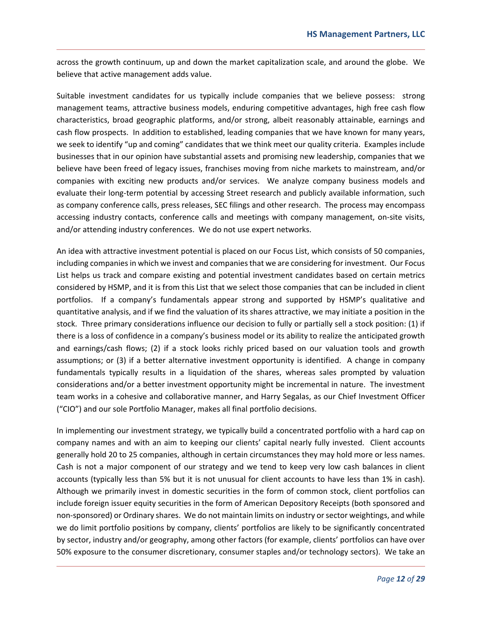across the growth continuum, up and down the market capitalization scale, and around the globe. We believe that active management adds value.

Suitable investment candidates for us typically include companies that we believe possess: strong management teams, attractive business models, enduring competitive advantages, high free cash flow characteristics, broad geographic platforms, and/or strong, albeit reasonably attainable, earnings and cash flow prospects. In addition to established, leading companies that we have known for many years, we seek to identify "up and coming" candidates that we think meet our quality criteria. Examples include businesses that in our opinion have substantial assets and promising new leadership, companies that we believe have been freed of legacy issues, franchises moving from niche markets to mainstream, and/or companies with exciting new products and/or services. We analyze company business models and evaluate their long‐term potential by accessing Street research and publicly available information, such as company conference calls, press releases, SEC filings and other research. The process may encompass accessing industry contacts, conference calls and meetings with company management, on‐site visits, and/or attending industry conferences. We do not use expert networks.

An idea with attractive investment potential is placed on our Focus List, which consists of 50 companies, including companies in which we invest and companies that we are considering for investment. Our Focus List helps us track and compare existing and potential investment candidates based on certain metrics considered by HSMP, and it is from this List that we select those companies that can be included in client portfolios. If a company's fundamentals appear strong and supported by HSMP's qualitative and quantitative analysis, and if we find the valuation of its shares attractive, we may initiate a position in the stock. Three primary considerations influence our decision to fully or partially sell a stock position: (1) if there is a loss of confidence in a company's business model or its ability to realize the anticipated growth and earnings/cash flows; (2) if a stock looks richly priced based on our valuation tools and growth assumptions; or (3) if a better alternative investment opportunity is identified. A change in company fundamentals typically results in a liquidation of the shares, whereas sales prompted by valuation considerations and/or a better investment opportunity might be incremental in nature. The investment team works in a cohesive and collaborative manner, and Harry Segalas, as our Chief Investment Officer ("CIO") and our sole Portfolio Manager, makes all final portfolio decisions.

In implementing our investment strategy, we typically build a concentrated portfolio with a hard cap on company names and with an aim to keeping our clients' capital nearly fully invested. Client accounts generally hold 20 to 25 companies, although in certain circumstances they may hold more or less names. Cash is not a major component of our strategy and we tend to keep very low cash balances in client accounts (typically less than 5% but it is not unusual for client accounts to have less than 1% in cash). Although we primarily invest in domestic securities in the form of common stock, client portfolios can include foreign issuer equity securities in the form of American Depository Receipts (both sponsored and non‐sponsored) or Ordinary shares. We do not maintain limits on industry or sector weightings, and while we do limit portfolio positions by company, clients' portfolios are likely to be significantly concentrated by sector, industry and/or geography, among other factors (for example, clients' portfolios can have over 50% exposure to the consumer discretionary, consumer staples and/or technology sectors). We take an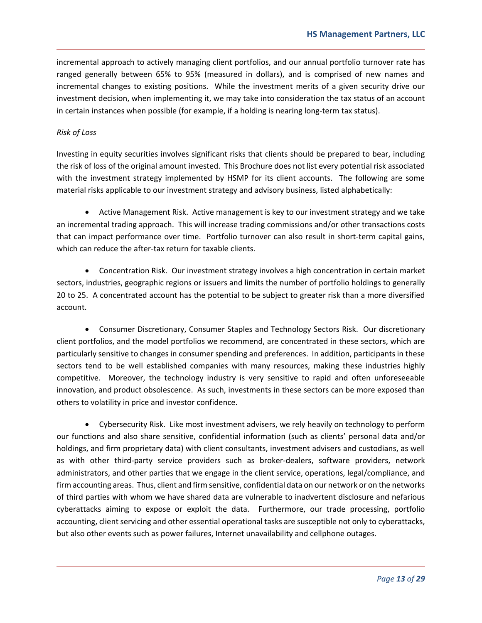incremental approach to actively managing client portfolios, and our annual portfolio turnover rate has ranged generally between 65% to 95% (measured in dollars), and is comprised of new names and incremental changes to existing positions. While the investment merits of a given security drive our investment decision, when implementing it, we may take into consideration the tax status of an account in certain instances when possible (for example, if a holding is nearing long-term tax status).

#### *Risk of Loss*

Investing in equity securities involves significant risks that clients should be prepared to bear, including the risk of loss of the original amount invested. This Brochure does not list every potential risk associated with the investment strategy implemented by HSMP for its client accounts. The following are some material risks applicable to our investment strategy and advisory business, listed alphabetically:

 Active Management Risk. Active management is key to our investment strategy and we take an incremental trading approach. This will increase trading commissions and/or other transactions costs that can impact performance over time. Portfolio turnover can also result in short‐term capital gains, which can reduce the after-tax return for taxable clients.

 Concentration Risk. Our investment strategy involves a high concentration in certain market sectors, industries, geographic regions or issuers and limits the number of portfolio holdings to generally 20 to 25. A concentrated account has the potential to be subject to greater risk than a more diversified account.

 Consumer Discretionary, Consumer Staples and Technology Sectors Risk. Our discretionary client portfolios, and the model portfolios we recommend, are concentrated in these sectors, which are particularly sensitive to changes in consumer spending and preferences. In addition, participants in these sectors tend to be well established companies with many resources, making these industries highly competitive. Moreover, the technology industry is very sensitive to rapid and often unforeseeable innovation, and product obsolescence. As such, investments in these sectors can be more exposed than others to volatility in price and investor confidence.

 Cybersecurity Risk. Like most investment advisers, we rely heavily on technology to perform our functions and also share sensitive, confidential information (such as clients' personal data and/or holdings, and firm proprietary data) with client consultants, investment advisers and custodians, as well as with other third-party service providers such as broker-dealers, software providers, network administrators, and other parties that we engage in the client service, operations, legal/compliance, and firm accounting areas. Thus, client and firm sensitive, confidential data on our network or on the networks of third parties with whom we have shared data are vulnerable to inadvertent disclosure and nefarious cyberattacks aiming to expose or exploit the data. Furthermore, our trade processing, portfolio accounting, client servicing and other essential operational tasks are susceptible not only to cyberattacks, but also other events such as power failures, Internet unavailability and cellphone outages.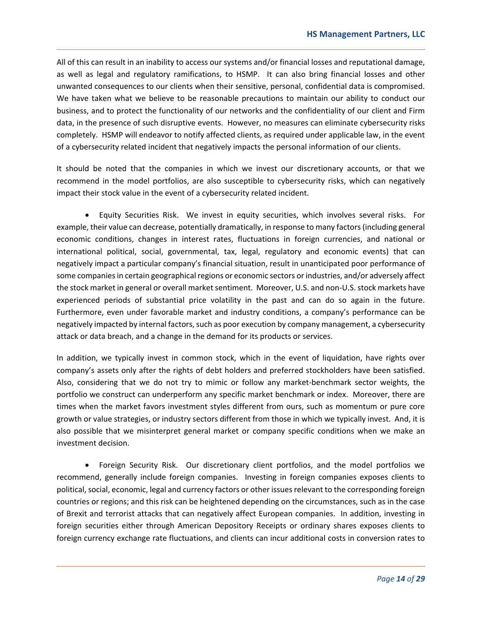All of this can result in an inability to access our systems and/or financial losses and reputational damage, as well as legal and regulatory ramifications, to HSMP. It can also bring financial losses and other unwanted consequences to our clients when their sensitive, personal, confidential data is compromised. We have taken what we believe to be reasonable precautions to maintain our ability to conduct our business, and to protect the functionality of our networks and the confidentiality of our client and Firm data, in the presence of such disruptive events. However, no measures can eliminate cybersecurity risks completely. HSMP will endeavor to notify affected clients, as required under applicable law, in the event of a cybersecurity related incident that negatively impacts the personal information of our clients.

It should be noted that the companies in which we invest our discretionary accounts, or that we recommend in the model portfolios, are also susceptible to cybersecurity risks, which can negatively impact their stock value in the event of a cybersecurity related incident.

 Equity Securities Risk. We invest in equity securities, which involves several risks. For example, their value can decrease, potentially dramatically, in response to many factors (including general economic conditions, changes in interest rates, fluctuations in foreign currencies, and national or international political, social, governmental, tax, legal, regulatory and economic events) that can negatively impact a particular company's financial situation, result in unanticipated poor performance of some companies in certain geographical regions or economic sectors or industries, and/or adversely affect the stock market in general or overall market sentiment. Moreover, U.S. and non‐U.S. stock markets have experienced periods of substantial price volatility in the past and can do so again in the future. Furthermore, even under favorable market and industry conditions, a company's performance can be negatively impacted by internal factors, such as poor execution by company management, a cybersecurity attack or data breach, and a change in the demand for its products or services.

In addition, we typically invest in common stock, which in the event of liquidation, have rights over company's assets only after the rights of debt holders and preferred stockholders have been satisfied. Also, considering that we do not try to mimic or follow any market‐benchmark sector weights, the portfolio we construct can underperform any specific market benchmark or index. Moreover, there are times when the market favors investment styles different from ours, such as momentum or pure core growth or value strategies, or industry sectors different from those in which we typically invest. And, it is also possible that we misinterpret general market or company specific conditions when we make an investment decision.

 Foreign Security Risk. Our discretionary client portfolios, and the model portfolios we recommend, generally include foreign companies. Investing in foreign companies exposes clients to political, social, economic, legal and currency factors or other issues relevant to the corresponding foreign countries or regions; and this risk can be heightened depending on the circumstances, such as in the case of Brexit and terrorist attacks that can negatively affect European companies. In addition, investing in foreign securities either through American Depository Receipts or ordinary shares exposes clients to foreign currency exchange rate fluctuations, and clients can incur additional costs in conversion rates to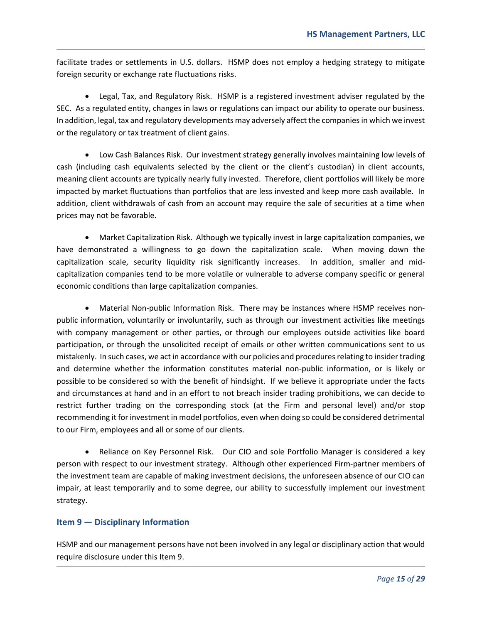facilitate trades or settlements in U.S. dollars. HSMP does not employ a hedging strategy to mitigate foreign security or exchange rate fluctuations risks.

 Legal, Tax, and Regulatory Risk. HSMP is a registered investment adviser regulated by the SEC. As a regulated entity, changes in laws or regulations can impact our ability to operate our business. In addition, legal, tax and regulatory developments may adversely affect the companies in which we invest or the regulatory or tax treatment of client gains.

 Low Cash Balances Risk. Our investment strategy generally involves maintaining low levels of cash (including cash equivalents selected by the client or the client's custodian) in client accounts, meaning client accounts are typically nearly fully invested. Therefore, client portfolios will likely be more impacted by market fluctuations than portfolios that are less invested and keep more cash available. In addition, client withdrawals of cash from an account may require the sale of securities at a time when prices may not be favorable.

 Market Capitalization Risk. Although we typically invest in large capitalization companies, we have demonstrated a willingness to go down the capitalization scale. When moving down the capitalization scale, security liquidity risk significantly increases. In addition, smaller and mid‐ capitalization companies tend to be more volatile or vulnerable to adverse company specific or general economic conditions than large capitalization companies.

● Material Non-public Information Risk. There may be instances where HSMP receives nonpublic information, voluntarily or involuntarily, such as through our investment activities like meetings with company management or other parties, or through our employees outside activities like board participation, or through the unsolicited receipt of emails or other written communications sent to us mistakenly. In such cases, we act in accordance with our policies and procedures relating to insider trading and determine whether the information constitutes material non‐public information, or is likely or possible to be considered so with the benefit of hindsight. If we believe it appropriate under the facts and circumstances at hand and in an effort to not breach insider trading prohibitions, we can decide to restrict further trading on the corresponding stock (at the Firm and personal level) and/or stop recommending it for investment in model portfolios, even when doing so could be considered detrimental to our Firm, employees and all or some of our clients.

• Reliance on Key Personnel Risk. Our CIO and sole Portfolio Manager is considered a key person with respect to our investment strategy. Although other experienced Firm‐partner members of the investment team are capable of making investment decisions, the unforeseen absence of our CIO can impair, at least temporarily and to some degree, our ability to successfully implement our investment strategy.

#### **Item 9 — Disciplinary Information**

HSMP and our management persons have not been involved in any legal or disciplinary action that would require disclosure under this Item 9.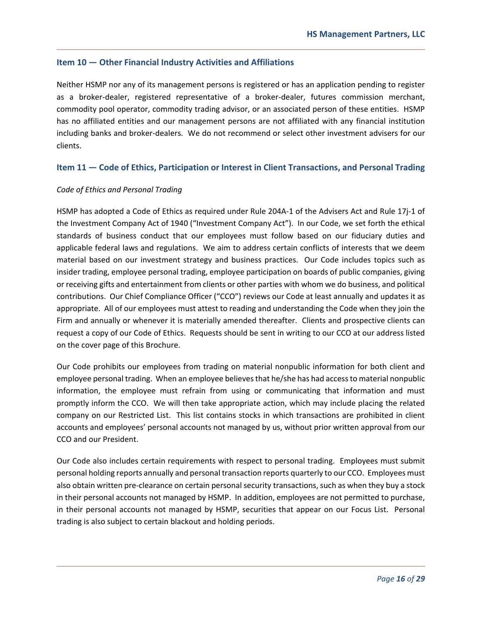#### **Item 10 — Other Financial Industry Activities and Affiliations**

Neither HSMP nor any of its management persons is registered or has an application pending to register as a broker-dealer, registered representative of a broker-dealer, futures commission merchant, commodity pool operator, commodity trading advisor, or an associated person of these entities. HSMP has no affiliated entities and our management persons are not affiliated with any financial institution including banks and broker‐dealers. We do not recommend or select other investment advisers for our clients.

#### **Item 11 — Code of Ethics, Participation or Interest in Client Transactions, and Personal Trading**

#### *Code of Ethics and Personal Trading*

HSMP has adopted a Code of Ethics as required under Rule 204A‐1 of the Advisers Act and Rule 17j‐1 of the Investment Company Act of 1940 ("Investment Company Act"). In our Code, we set forth the ethical standards of business conduct that our employees must follow based on our fiduciary duties and applicable federal laws and regulations. We aim to address certain conflicts of interests that we deem material based on our investment strategy and business practices. Our Code includes topics such as insider trading, employee personal trading, employee participation on boards of public companies, giving or receiving gifts and entertainment from clients or other parties with whom we do business, and political contributions. Our Chief Compliance Officer ("CCO") reviews our Code at least annually and updates it as appropriate. All of our employees must attest to reading and understanding the Code when they join the Firm and annually or whenever it is materially amended thereafter. Clients and prospective clients can request a copy of our Code of Ethics. Requests should be sent in writing to our CCO at our address listed on the cover page of this Brochure.

Our Code prohibits our employees from trading on material nonpublic information for both client and employee personal trading. When an employee believes that he/she has had access to material nonpublic information, the employee must refrain from using or communicating that information and must promptly inform the CCO. We will then take appropriate action, which may include placing the related company on our Restricted List. This list contains stocks in which transactions are prohibited in client accounts and employees' personal accounts not managed by us, without prior written approval from our CCO and our President.

Our Code also includes certain requirements with respect to personal trading. Employees must submit personal holding reports annually and personal transaction reports quarterly to our CCO. Employees must also obtain written pre‐clearance on certain personal security transactions, such as when they buy a stock in their personal accounts not managed by HSMP. In addition, employees are not permitted to purchase, in their personal accounts not managed by HSMP, securities that appear on our Focus List. Personal trading is also subject to certain blackout and holding periods.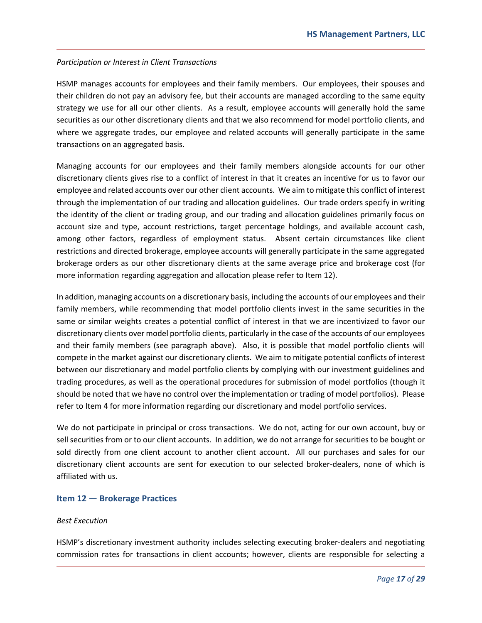#### *Participation or Interest in Client Transactions*

HSMP manages accounts for employees and their family members. Our employees, their spouses and their children do not pay an advisory fee, but their accounts are managed according to the same equity strategy we use for all our other clients. As a result, employee accounts will generally hold the same securities as our other discretionary clients and that we also recommend for model portfolio clients, and where we aggregate trades, our employee and related accounts will generally participate in the same transactions on an aggregated basis.

Managing accounts for our employees and their family members alongside accounts for our other discretionary clients gives rise to a conflict of interest in that it creates an incentive for us to favor our employee and related accounts over our other client accounts. We aim to mitigate this conflict of interest through the implementation of our trading and allocation guidelines. Our trade orders specify in writing the identity of the client or trading group, and our trading and allocation guidelines primarily focus on account size and type, account restrictions, target percentage holdings, and available account cash, among other factors, regardless of employment status. Absent certain circumstances like client restrictions and directed brokerage, employee accounts will generally participate in the same aggregated brokerage orders as our other discretionary clients at the same average price and brokerage cost (for more information regarding aggregation and allocation please refer to Item 12).

In addition, managing accounts on a discretionary basis, including the accounts of our employees and their family members, while recommending that model portfolio clients invest in the same securities in the same or similar weights creates a potential conflict of interest in that we are incentivized to favor our discretionary clients over model portfolio clients, particularly in the case of the accounts of our employees and their family members (see paragraph above). Also, it is possible that model portfolio clients will compete in the market against our discretionary clients. We aim to mitigate potential conflicts of interest between our discretionary and model portfolio clients by complying with our investment guidelines and trading procedures, as well as the operational procedures for submission of model portfolios (though it should be noted that we have no control over the implementation or trading of model portfolios). Please refer to Item 4 for more information regarding our discretionary and model portfolio services.

We do not participate in principal or cross transactions. We do not, acting for our own account, buy or sell securities from or to our client accounts. In addition, we do not arrange for securities to be bought or sold directly from one client account to another client account. All our purchases and sales for our discretionary client accounts are sent for execution to our selected broker‐dealers, none of which is affiliated with us.

#### **Item 12 — Brokerage Practices**

#### *Best Execution*

HSMP's discretionary investment authority includes selecting executing broker‐dealers and negotiating commission rates for transactions in client accounts; however, clients are responsible for selecting a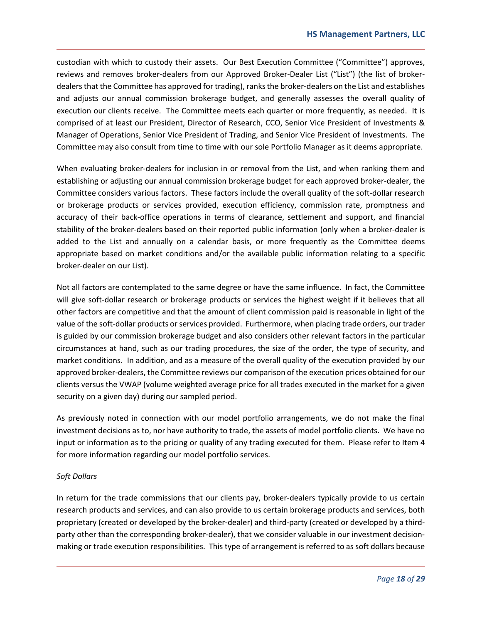custodian with which to custody their assets. Our Best Execution Committee ("Committee") approves, reviews and removes broker‐dealers from our Approved Broker‐Dealer List ("List") (the list of broker‐ dealers that the Committee has approved for trading), ranks the broker‐dealers on the List and establishes and adjusts our annual commission brokerage budget, and generally assesses the overall quality of execution our clients receive. The Committee meets each quarter or more frequently, as needed. It is comprised of at least our President, Director of Research, CCO, Senior Vice President of Investments & Manager of Operations, Senior Vice President of Trading, and Senior Vice President of Investments. The Committee may also consult from time to time with our sole Portfolio Manager as it deems appropriate.

When evaluating broker-dealers for inclusion in or removal from the List, and when ranking them and establishing or adjusting our annual commission brokerage budget for each approved broker-dealer, the Committee considers various factors. These factors include the overall quality of the soft‐dollar research or brokerage products or services provided, execution efficiency, commission rate, promptness and accuracy of their back-office operations in terms of clearance, settlement and support, and financial stability of the broker‐dealers based on their reported public information (only when a broker‐dealer is added to the List and annually on a calendar basis, or more frequently as the Committee deems appropriate based on market conditions and/or the available public information relating to a specific broker‐dealer on our List).

Not all factors are contemplated to the same degree or have the same influence. In fact, the Committee will give soft-dollar research or brokerage products or services the highest weight if it believes that all other factors are competitive and that the amount of client commission paid is reasonable in light of the value of the soft-dollar products or services provided. Furthermore, when placing trade orders, our trader is guided by our commission brokerage budget and also considers other relevant factors in the particular circumstances at hand, such as our trading procedures, the size of the order, the type of security, and market conditions. In addition, and as a measure of the overall quality of the execution provided by our approved broker‐dealers, the Committee reviews our comparison of the execution prices obtained for our clients versus the VWAP (volume weighted average price for all trades executed in the market for a given security on a given day) during our sampled period.

As previously noted in connection with our model portfolio arrangements, we do not make the final investment decisions as to, nor have authority to trade, the assets of model portfolio clients. We have no input or information as to the pricing or quality of any trading executed for them. Please refer to Item 4 for more information regarding our model portfolio services.

#### *Soft Dollars*

In return for the trade commissions that our clients pay, broker-dealers typically provide to us certain research products and services, and can also provide to us certain brokerage products and services, both proprietary (created or developed by the broker‐dealer) and third‐party (created or developed by a third‐ party other than the corresponding broker-dealer), that we consider valuable in our investment decisionmaking or trade execution responsibilities. This type of arrangement is referred to as soft dollars because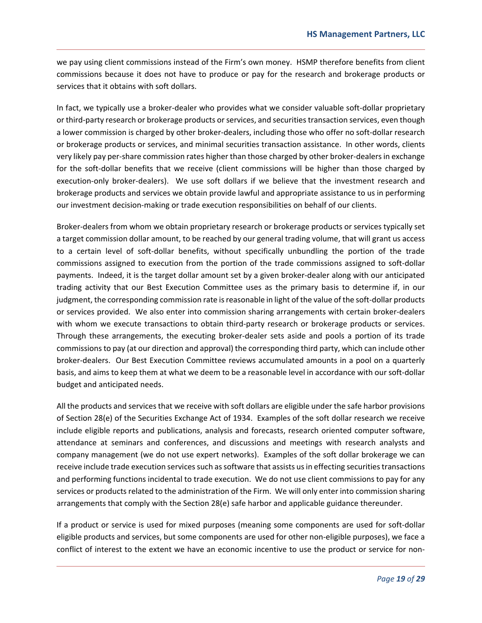we pay using client commissions instead of the Firm's own money. HSMP therefore benefits from client commissions because it does not have to produce or pay for the research and brokerage products or services that it obtains with soft dollars.

In fact, we typically use a broker‐dealer who provides what we consider valuable soft‐dollar proprietary or third‐party research or brokerage products or services, and securities transaction services, even though a lower commission is charged by other broker‐dealers, including those who offer no soft‐dollar research or brokerage products or services, and minimal securities transaction assistance. In other words, clients very likely pay per‐share commission rates higher than those charged by other broker‐dealers in exchange for the soft-dollar benefits that we receive (client commissions will be higher than those charged by execution-only broker-dealers). We use soft dollars if we believe that the investment research and brokerage products and services we obtain provide lawful and appropriate assistance to us in performing our investment decision‐making or trade execution responsibilities on behalf of our clients.

Broker‐dealers from whom we obtain proprietary research or brokerage products or services typically set a target commission dollar amount, to be reached by our general trading volume, that will grant us access to a certain level of soft-dollar benefits, without specifically unbundling the portion of the trade commissions assigned to execution from the portion of the trade commissions assigned to soft-dollar payments. Indeed, it is the target dollar amount set by a given broker‐dealer along with our anticipated trading activity that our Best Execution Committee uses as the primary basis to determine if, in our judgment, the corresponding commission rate is reasonable in light of the value of the soft-dollar products or services provided. We also enter into commission sharing arrangements with certain broker‐dealers with whom we execute transactions to obtain third-party research or brokerage products or services. Through these arrangements, the executing broker‐dealer sets aside and pools a portion of its trade commissions to pay (at our direction and approval) the corresponding third party, which can include other broker‐dealers. Our Best Execution Committee reviews accumulated amounts in a pool on a quarterly basis, and aims to keep them at what we deem to be a reasonable level in accordance with our soft‐dollar budget and anticipated needs.

All the products and services that we receive with soft dollars are eligible under the safe harbor provisions of Section 28(e) of the Securities Exchange Act of 1934. Examples of the soft dollar research we receive include eligible reports and publications, analysis and forecasts, research oriented computer software, attendance at seminars and conferences, and discussions and meetings with research analysts and company management (we do not use expert networks). Examples of the soft dollar brokerage we can receive include trade execution services such as software that assists us in effecting securities transactions and performing functions incidental to trade execution. We do not use client commissions to pay for any services or products related to the administration of the Firm. We will only enter into commission sharing arrangements that comply with the Section 28(e) safe harbor and applicable guidance thereunder.

If a product or service is used for mixed purposes (meaning some components are used for soft‐dollar eligible products and services, but some components are used for other non‐eligible purposes), we face a conflict of interest to the extent we have an economic incentive to use the product or service for non‐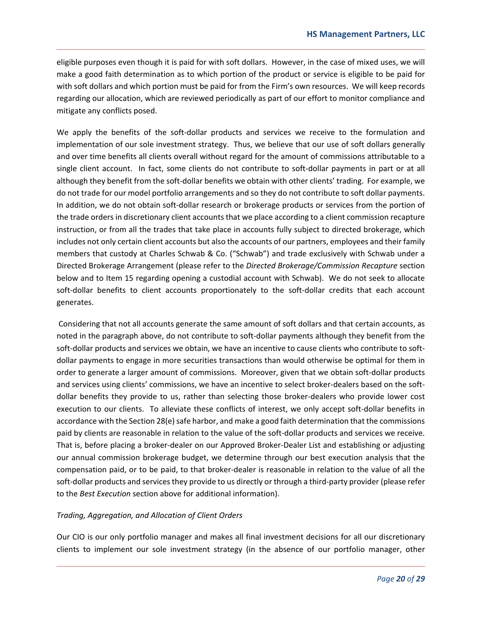eligible purposes even though it is paid for with soft dollars. However, in the case of mixed uses, we will make a good faith determination as to which portion of the product or service is eligible to be paid for with soft dollars and which portion must be paid for from the Firm's own resources. We will keep records regarding our allocation, which are reviewed periodically as part of our effort to monitor compliance and mitigate any conflicts posed.

We apply the benefits of the soft-dollar products and services we receive to the formulation and implementation of our sole investment strategy. Thus, we believe that our use of soft dollars generally and over time benefits all clients overall without regard for the amount of commissions attributable to a single client account. In fact, some clients do not contribute to soft-dollar payments in part or at all although they benefit from the soft-dollar benefits we obtain with other clients' trading. For example, we do not trade for our model portfolio arrangements and so they do not contribute to soft dollar payments. In addition, we do not obtain soft‐dollar research or brokerage products or services from the portion of the trade orders in discretionary client accounts that we place according to a client commission recapture instruction, or from all the trades that take place in accounts fully subject to directed brokerage, which includes not only certain client accounts but also the accounts of our partners, employees and their family members that custody at Charles Schwab & Co. ("Schwab") and trade exclusively with Schwab under a Directed Brokerage Arrangement (please refer to the *Directed Brokerage/Commission Recapture* section below and to Item 15 regarding opening a custodial account with Schwab). We do not seek to allocate soft-dollar benefits to client accounts proportionately to the soft-dollar credits that each account generates.

 Considering that not all accounts generate the same amount of soft dollars and that certain accounts, as noted in the paragraph above, do not contribute to soft-dollar payments although they benefit from the soft-dollar products and services we obtain, we have an incentive to cause clients who contribute to softdollar payments to engage in more securities transactions than would otherwise be optimal for them in order to generate a larger amount of commissions. Moreover, given that we obtain soft-dollar products and services using clients' commissions, we have an incentive to select broker-dealers based on the softdollar benefits they provide to us, rather than selecting those broker‐dealers who provide lower cost execution to our clients. To alleviate these conflicts of interest, we only accept soft-dollar benefits in accordance with the Section 28(e) safe harbor, and make a good faith determination that the commissions paid by clients are reasonable in relation to the value of the soft-dollar products and services we receive. That is, before placing a broker‐dealer on our Approved Broker‐Dealer List and establishing or adjusting our annual commission brokerage budget, we determine through our best execution analysis that the compensation paid, or to be paid, to that broker‐dealer is reasonable in relation to the value of all the soft-dollar products and services they provide to us directly or through a third-party provider (please refer to the *Best Execution* section above for additional information).

#### *Trading, Aggregation, and Allocation of Client Orders*

Our CIO is our only portfolio manager and makes all final investment decisions for all our discretionary clients to implement our sole investment strategy (in the absence of our portfolio manager, other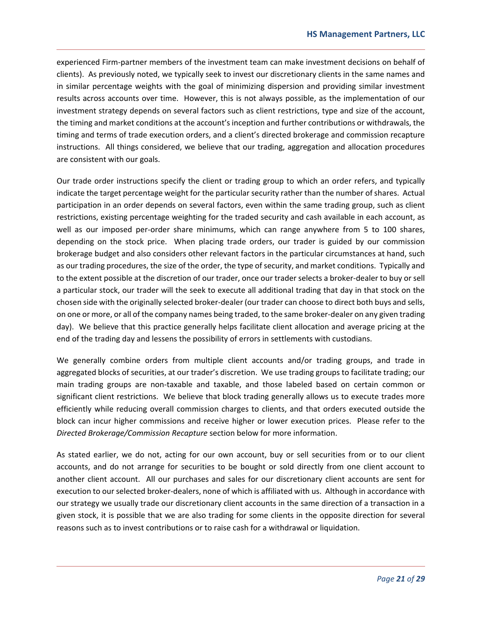experienced Firm‐partner members of the investment team can make investment decisions on behalf of clients). As previously noted, we typically seek to invest our discretionary clients in the same names and in similar percentage weights with the goal of minimizing dispersion and providing similar investment results across accounts over time. However, this is not always possible, as the implementation of our investment strategy depends on several factors such as client restrictions, type and size of the account, the timing and market conditions at the account's inception and further contributions or withdrawals, the timing and terms of trade execution orders, and a client's directed brokerage and commission recapture instructions. All things considered, we believe that our trading, aggregation and allocation procedures are consistent with our goals.

Our trade order instructions specify the client or trading group to which an order refers, and typically indicate the target percentage weight for the particular security rather than the number of shares. Actual participation in an order depends on several factors, even within the same trading group, such as client restrictions, existing percentage weighting for the traded security and cash available in each account, as well as our imposed per-order share minimums, which can range anywhere from 5 to 100 shares, depending on the stock price. When placing trade orders, our trader is guided by our commission brokerage budget and also considers other relevant factors in the particular circumstances at hand, such as our trading procedures, the size of the order, the type of security, and market conditions. Typically and to the extent possible at the discretion of our trader, once our trader selects a broker‐dealer to buy or sell a particular stock, our trader will the seek to execute all additional trading that day in that stock on the chosen side with the originally selected broker‐dealer (our trader can choose to direct both buys and sells, on one or more, or all of the company names being traded, to the same broker‐dealer on any given trading day). We believe that this practice generally helps facilitate client allocation and average pricing at the end of the trading day and lessens the possibility of errors in settlements with custodians.

We generally combine orders from multiple client accounts and/or trading groups, and trade in aggregated blocks of securities, at our trader's discretion. We use trading groups to facilitate trading; our main trading groups are non-taxable and taxable, and those labeled based on certain common or significant client restrictions. We believe that block trading generally allows us to execute trades more efficiently while reducing overall commission charges to clients, and that orders executed outside the block can incur higher commissions and receive higher or lower execution prices. Please refer to the *Directed Brokerage/Commission Recapture* section below for more information.

As stated earlier, we do not, acting for our own account, buy or sell securities from or to our client accounts, and do not arrange for securities to be bought or sold directly from one client account to another client account. All our purchases and sales for our discretionary client accounts are sent for execution to our selected broker-dealers, none of which is affiliated with us. Although in accordance with our strategy we usually trade our discretionary client accounts in the same direction of a transaction in a given stock, it is possible that we are also trading for some clients in the opposite direction for several reasons such as to invest contributions or to raise cash for a withdrawal or liquidation.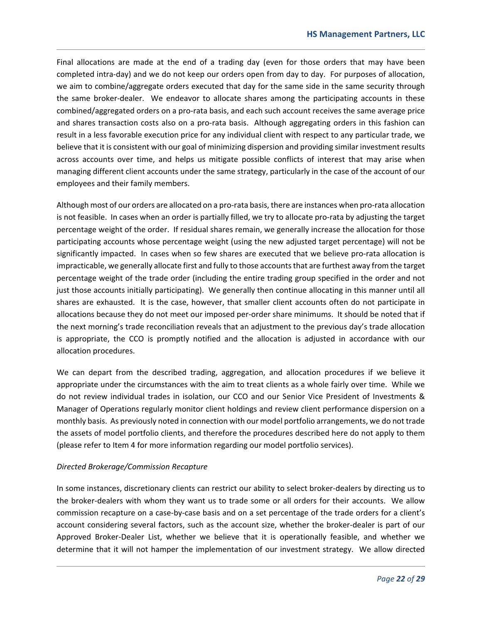Final allocations are made at the end of a trading day (even for those orders that may have been completed intra-day) and we do not keep our orders open from day to day. For purposes of allocation, we aim to combine/aggregate orders executed that day for the same side in the same security through the same broker-dealer. We endeavor to allocate shares among the participating accounts in these combined/aggregated orders on a pro-rata basis, and each such account receives the same average price and shares transaction costs also on a pro-rata basis. Although aggregating orders in this fashion can result in a less favorable execution price for any individual client with respect to any particular trade, we believe that it is consistent with our goal of minimizing dispersion and providing similar investment results across accounts over time, and helps us mitigate possible conflicts of interest that may arise when managing different client accounts under the same strategy, particularly in the case of the account of our employees and their family members.

Although most of our orders are allocated on a pro‐rata basis, there are instances when pro‐rata allocation is not feasible. In cases when an order is partially filled, we try to allocate pro-rata by adjusting the target percentage weight of the order. If residual shares remain, we generally increase the allocation for those participating accounts whose percentage weight (using the new adjusted target percentage) will not be significantly impacted. In cases when so few shares are executed that we believe pro-rata allocation is impracticable, we generally allocate first and fully to those accounts that are furthest away from the target percentage weight of the trade order (including the entire trading group specified in the order and not just those accounts initially participating). We generally then continue allocating in this manner until all shares are exhausted. It is the case, however, that smaller client accounts often do not participate in allocations because they do not meet our imposed per‐order share minimums. It should be noted that if the next morning's trade reconciliation reveals that an adjustment to the previous day's trade allocation is appropriate, the CCO is promptly notified and the allocation is adjusted in accordance with our allocation procedures.

We can depart from the described trading, aggregation, and allocation procedures if we believe it appropriate under the circumstances with the aim to treat clients as a whole fairly over time. While we do not review individual trades in isolation, our CCO and our Senior Vice President of Investments & Manager of Operations regularly monitor client holdings and review client performance dispersion on a monthly basis. As previously noted in connection with our model portfolio arrangements, we do not trade the assets of model portfolio clients, and therefore the procedures described here do not apply to them (please refer to Item 4 for more information regarding our model portfolio services).

#### *Directed Brokerage/Commission Recapture*

In some instances, discretionary clients can restrict our ability to select broker‐dealers by directing us to the broker-dealers with whom they want us to trade some or all orders for their accounts. We allow commission recapture on a case-by-case basis and on a set percentage of the trade orders for a client's account considering several factors, such as the account size, whether the broker‐dealer is part of our Approved Broker‐Dealer List, whether we believe that it is operationally feasible, and whether we determine that it will not hamper the implementation of our investment strategy. We allow directed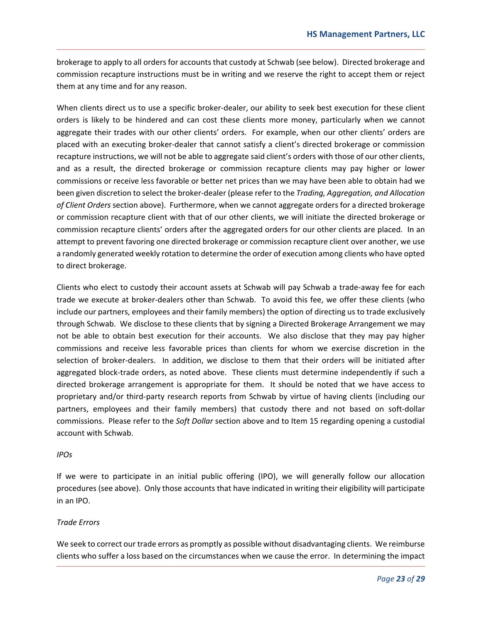brokerage to apply to all orders for accounts that custody at Schwab (see below). Directed brokerage and commission recapture instructions must be in writing and we reserve the right to accept them or reject them at any time and for any reason.

When clients direct us to use a specific broker-dealer, our ability to seek best execution for these client orders is likely to be hindered and can cost these clients more money, particularly when we cannot aggregate their trades with our other clients' orders. For example, when our other clients' orders are placed with an executing broker‐dealer that cannot satisfy a client's directed brokerage or commission recapture instructions, we will not be able to aggregate said client's orders with those of our other clients, and as a result, the directed brokerage or commission recapture clients may pay higher or lower commissions or receive less favorable or better net prices than we may have been able to obtain had we been given discretion to select the broker‐dealer (please refer to the *Trading, Aggregation, and Allocation of Client Orders* section above). Furthermore, when we cannot aggregate orders for a directed brokerage or commission recapture client with that of our other clients, we will initiate the directed brokerage or commission recapture clients' orders after the aggregated orders for our other clients are placed. In an attempt to prevent favoring one directed brokerage or commission recapture client over another, we use a randomly generated weekly rotation to determine the order of execution among clients who have opted to direct brokerage.

Clients who elect to custody their account assets at Schwab will pay Schwab a trade‐away fee for each trade we execute at broker‐dealers other than Schwab. To avoid this fee, we offer these clients (who include our partners, employees and their family members) the option of directing us to trade exclusively through Schwab. We disclose to these clients that by signing a Directed Brokerage Arrangement we may not be able to obtain best execution for their accounts. We also disclose that they may pay higher commissions and receive less favorable prices than clients for whom we exercise discretion in the selection of broker-dealers. In addition, we disclose to them that their orders will be initiated after aggregated block‐trade orders, as noted above. These clients must determine independently if such a directed brokerage arrangement is appropriate for them. It should be noted that we have access to proprietary and/or third‐party research reports from Schwab by virtue of having clients (including our partners, employees and their family members) that custody there and not based on soft‐dollar commissions. Please refer to the *Soft Dollar* section above and to Item 15 regarding opening a custodial account with Schwab.

#### *IPOs*

If we were to participate in an initial public offering (IPO), we will generally follow our allocation procedures (see above). Only those accounts that have indicated in writing their eligibility will participate in an IPO.

#### *Trade Errors*

We seek to correct our trade errors as promptly as possible without disadvantaging clients. We reimburse clients who suffer a loss based on the circumstances when we cause the error. In determining the impact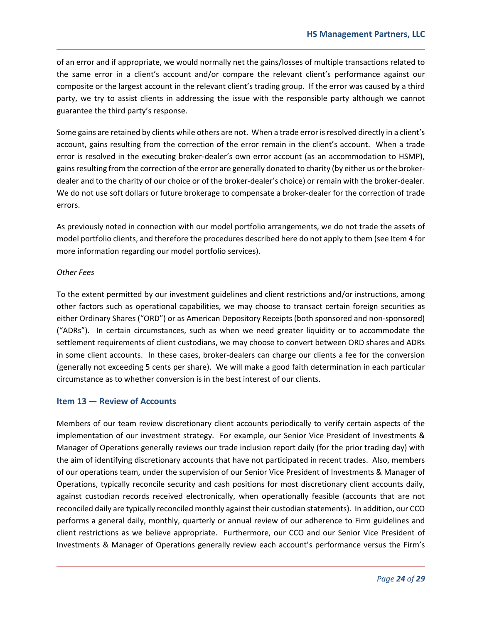of an error and if appropriate, we would normally net the gains/losses of multiple transactions related to the same error in a client's account and/or compare the relevant client's performance against our composite or the largest account in the relevant client's trading group. If the error was caused by a third party, we try to assist clients in addressing the issue with the responsible party although we cannot guarantee the third party's response.

Some gains are retained by clients while others are not. When a trade error is resolved directly in a client's account, gains resulting from the correction of the error remain in the client's account. When a trade error is resolved in the executing broker-dealer's own error account (as an accommodation to HSMP), gains resulting from the correction of the error are generally donated to charity (by either us or the broker‐ dealer and to the charity of our choice or of the broker‐dealer's choice) or remain with the broker‐dealer. We do not use soft dollars or future brokerage to compensate a broker‐dealer for the correction of trade errors.

As previously noted in connection with our model portfolio arrangements, we do not trade the assets of model portfolio clients, and therefore the procedures described here do not apply to them (see Item 4 for more information regarding our model portfolio services).

#### *Other Fees*

To the extent permitted by our investment guidelines and client restrictions and/or instructions, among other factors such as operational capabilities, we may choose to transact certain foreign securities as either Ordinary Shares ("ORD") or as American Depository Receipts (both sponsored and non‐sponsored) ("ADRs"). In certain circumstances, such as when we need greater liquidity or to accommodate the settlement requirements of client custodians, we may choose to convert between ORD shares and ADRs in some client accounts. In these cases, broker-dealers can charge our clients a fee for the conversion (generally not exceeding 5 cents per share). We will make a good faith determination in each particular circumstance as to whether conversion is in the best interest of our clients.

#### **Item 13 — Review of Accounts**

Members of our team review discretionary client accounts periodically to verify certain aspects of the implementation of our investment strategy. For example, our Senior Vice President of Investments & Manager of Operations generally reviews our trade inclusion report daily (for the prior trading day) with the aim of identifying discretionary accounts that have not participated in recent trades. Also, members of our operations team, under the supervision of our Senior Vice President of Investments & Manager of Operations, typically reconcile security and cash positions for most discretionary client accounts daily, against custodian records received electronically, when operationally feasible (accounts that are not reconciled daily are typically reconciled monthly against their custodian statements). In addition, our CCO performs a general daily, monthly, quarterly or annual review of our adherence to Firm guidelines and client restrictions as we believe appropriate. Furthermore, our CCO and our Senior Vice President of Investments & Manager of Operations generally review each account's performance versus the Firm's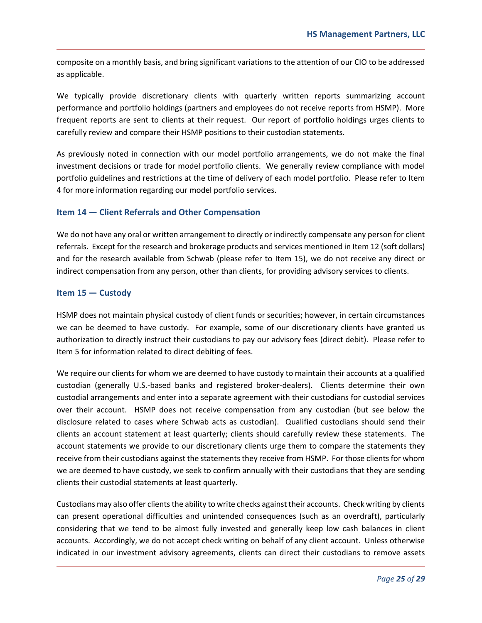composite on a monthly basis, and bring significant variations to the attention of our CIO to be addressed as applicable.

We typically provide discretionary clients with quarterly written reports summarizing account performance and portfolio holdings (partners and employees do not receive reports from HSMP). More frequent reports are sent to clients at their request. Our report of portfolio holdings urges clients to carefully review and compare their HSMP positions to their custodian statements.

As previously noted in connection with our model portfolio arrangements, we do not make the final investment decisions or trade for model portfolio clients. We generally review compliance with model portfolio guidelines and restrictions at the time of delivery of each model portfolio. Please refer to Item 4 for more information regarding our model portfolio services.

#### **Item 14 — Client Referrals and Other Compensation**

We do not have any oral or written arrangement to directly or indirectly compensate any person for client referrals. Except for the research and brokerage products and services mentioned in Item 12 (soft dollars) and for the research available from Schwab (please refer to Item 15), we do not receive any direct or indirect compensation from any person, other than clients, for providing advisory services to clients.

#### **Item 15 — Custody**

HSMP does not maintain physical custody of client funds or securities; however, in certain circumstances we can be deemed to have custody. For example, some of our discretionary clients have granted us authorization to directly instruct their custodians to pay our advisory fees (direct debit). Please refer to Item 5 for information related to direct debiting of fees.

We require our clients for whom we are deemed to have custody to maintain their accounts at a qualified custodian (generally U.S.‐based banks and registered broker‐dealers). Clients determine their own custodial arrangements and enter into a separate agreement with their custodians for custodial services over their account. HSMP does not receive compensation from any custodian (but see below the disclosure related to cases where Schwab acts as custodian). Qualified custodians should send their clients an account statement at least quarterly; clients should carefully review these statements. The account statements we provide to our discretionary clients urge them to compare the statements they receive from their custodians against the statements they receive from HSMP. For those clients for whom we are deemed to have custody, we seek to confirm annually with their custodians that they are sending clients their custodial statements at least quarterly.

Custodians may also offer clients the ability to write checks against their accounts. Check writing by clients can present operational difficulties and unintended consequences (such as an overdraft), particularly considering that we tend to be almost fully invested and generally keep low cash balances in client accounts. Accordingly, we do not accept check writing on behalf of any client account. Unless otherwise indicated in our investment advisory agreements, clients can direct their custodians to remove assets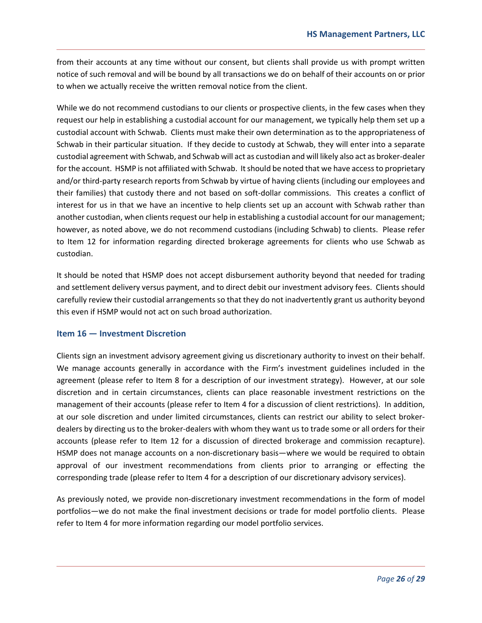from their accounts at any time without our consent, but clients shall provide us with prompt written notice of such removal and will be bound by all transactions we do on behalf of their accounts on or prior to when we actually receive the written removal notice from the client.

While we do not recommend custodians to our clients or prospective clients, in the few cases when they request our help in establishing a custodial account for our management, we typically help them set up a custodial account with Schwab. Clients must make their own determination as to the appropriateness of Schwab in their particular situation. If they decide to custody at Schwab, they will enter into a separate custodial agreement with Schwab, and Schwab will act as custodian and will likely also act as broker‐dealer for the account. HSMP is not affiliated with Schwab. It should be noted that we have access to proprietary and/or third-party research reports from Schwab by virtue of having clients (including our employees and their families) that custody there and not based on soft‐dollar commissions. This creates a conflict of interest for us in that we have an incentive to help clients set up an account with Schwab rather than another custodian, when clients request our help in establishing a custodial account for our management; however, as noted above, we do not recommend custodians (including Schwab) to clients. Please refer to Item 12 for information regarding directed brokerage agreements for clients who use Schwab as custodian.

It should be noted that HSMP does not accept disbursement authority beyond that needed for trading and settlement delivery versus payment, and to direct debit our investment advisory fees. Clients should carefully review their custodial arrangements so that they do not inadvertently grant us authority beyond this even if HSMP would not act on such broad authorization.

#### **Item 16 — Investment Discretion**

Clients sign an investment advisory agreement giving us discretionary authority to invest on their behalf. We manage accounts generally in accordance with the Firm's investment guidelines included in the agreement (please refer to Item 8 for a description of our investment strategy). However, at our sole discretion and in certain circumstances, clients can place reasonable investment restrictions on the management of their accounts (please refer to Item 4 for a discussion of client restrictions). In addition, at our sole discretion and under limited circumstances, clients can restrict our ability to select broker‐ dealers by directing us to the broker‐dealers with whom they want us to trade some or all orders for their accounts (please refer to Item 12 for a discussion of directed brokerage and commission recapture). HSMP does not manage accounts on a non-discretionary basis—where we would be required to obtain approval of our investment recommendations from clients prior to arranging or effecting the corresponding trade (please refer to Item 4 for a description of our discretionary advisory services).

As previously noted, we provide non-discretionary investment recommendations in the form of model portfolios—we do not make the final investment decisions or trade for model portfolio clients. Please refer to Item 4 for more information regarding our model portfolio services.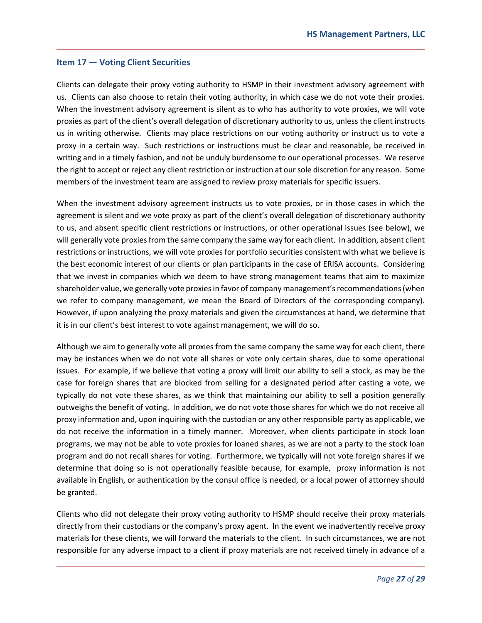#### **Item 17 — Voting Client Securities**

Clients can delegate their proxy voting authority to HSMP in their investment advisory agreement with us. Clients can also choose to retain their voting authority, in which case we do not vote their proxies. When the investment advisory agreement is silent as to who has authority to vote proxies, we will vote proxies as part of the client's overall delegation of discretionary authority to us, unless the client instructs us in writing otherwise. Clients may place restrictions on our voting authority or instruct us to vote a proxy in a certain way. Such restrictions or instructions must be clear and reasonable, be received in writing and in a timely fashion, and not be unduly burdensome to our operational processes. We reserve the right to accept or reject any client restriction or instruction at our sole discretion for any reason. Some members of the investment team are assigned to review proxy materials for specific issuers.

When the investment advisory agreement instructs us to vote proxies, or in those cases in which the agreement is silent and we vote proxy as part of the client's overall delegation of discretionary authority to us, and absent specific client restrictions or instructions, or other operational issues (see below), we will generally vote proxies from the same company the same way for each client. In addition, absent client restrictions or instructions, we will vote proxies for portfolio securities consistent with what we believe is the best economic interest of our clients or plan participants in the case of ERISA accounts. Considering that we invest in companies which we deem to have strong management teams that aim to maximize shareholder value, we generally vote proxies in favor of company management's recommendations (when we refer to company management, we mean the Board of Directors of the corresponding company). However, if upon analyzing the proxy materials and given the circumstances at hand, we determine that it is in our client's best interest to vote against management, we will do so.

Although we aim to generally vote all proxies from the same company the same way for each client, there may be instances when we do not vote all shares or vote only certain shares, due to some operational issues. For example, if we believe that voting a proxy will limit our ability to sell a stock, as may be the case for foreign shares that are blocked from selling for a designated period after casting a vote, we typically do not vote these shares, as we think that maintaining our ability to sell a position generally outweighs the benefit of voting. In addition, we do not vote those shares for which we do not receive all proxy information and, upon inquiring with the custodian or any other responsible party as applicable, we do not receive the information in a timely manner. Moreover, when clients participate in stock loan programs, we may not be able to vote proxies for loaned shares, as we are not a party to the stock loan program and do not recall shares for voting. Furthermore, we typically will not vote foreign shares if we determine that doing so is not operationally feasible because, for example, proxy information is not available in English, or authentication by the consul office is needed, or a local power of attorney should be granted.

Clients who did not delegate their proxy voting authority to HSMP should receive their proxy materials directly from their custodians or the company's proxy agent. In the event we inadvertently receive proxy materials for these clients, we will forward the materials to the client. In such circumstances, we are not responsible for any adverse impact to a client if proxy materials are not received timely in advance of a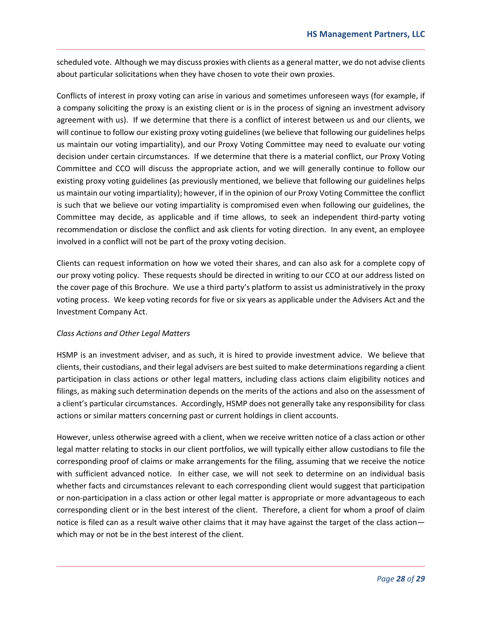scheduled vote. Although we may discuss proxies with clients as a general matter, we do not advise clients about particular solicitations when they have chosen to vote their own proxies.

Conflicts of interest in proxy voting can arise in various and sometimes unforeseen ways (for example, if a company soliciting the proxy is an existing client or is in the process of signing an investment advisory agreement with us). If we determine that there is a conflict of interest between us and our clients, we will continue to follow our existing proxy voting guidelines (we believe that following our guidelines helps us maintain our voting impartiality), and our Proxy Voting Committee may need to evaluate our voting decision under certain circumstances. If we determine that there is a material conflict, our Proxy Voting Committee and CCO will discuss the appropriate action, and we will generally continue to follow our existing proxy voting guidelines (as previously mentioned, we believe that following our guidelines helps us maintain our voting impartiality); however, if in the opinion of our Proxy Voting Committee the conflict is such that we believe our voting impartiality is compromised even when following our guidelines, the Committee may decide, as applicable and if time allows, to seek an independent third‐party voting recommendation or disclose the conflict and ask clients for voting direction. In any event, an employee involved in a conflict will not be part of the proxy voting decision.

Clients can request information on how we voted their shares, and can also ask for a complete copy of our proxy voting policy. These requests should be directed in writing to our CCO at our address listed on the cover page of this Brochure. We use a third party's platform to assist us administratively in the proxy voting process. We keep voting records for five or six years as applicable under the Advisers Act and the Investment Company Act.

#### *Class Actions and Other Legal Matters*

HSMP is an investment adviser, and as such, it is hired to provide investment advice. We believe that clients, their custodians, and their legal advisers are best suited to make determinations regarding a client participation in class actions or other legal matters, including class actions claim eligibility notices and filings, as making such determination depends on the merits of the actions and also on the assessment of a client's particular circumstances. Accordingly, HSMP does not generally take any responsibility for class actions or similar matters concerning past or current holdings in client accounts.

However, unless otherwise agreed with a client, when we receive written notice of a class action or other legal matter relating to stocks in our client portfolios, we will typically either allow custodians to file the corresponding proof of claims or make arrangements for the filing, assuming that we receive the notice with sufficient advanced notice. In either case, we will not seek to determine on an individual basis whether facts and circumstances relevant to each corresponding client would suggest that participation or non‐participation in a class action or other legal matter is appropriate or more advantageous to each corresponding client or in the best interest of the client. Therefore, a client for whom a proof of claim notice is filed can as a result waive other claims that it may have against the target of the class action which may or not be in the best interest of the client.